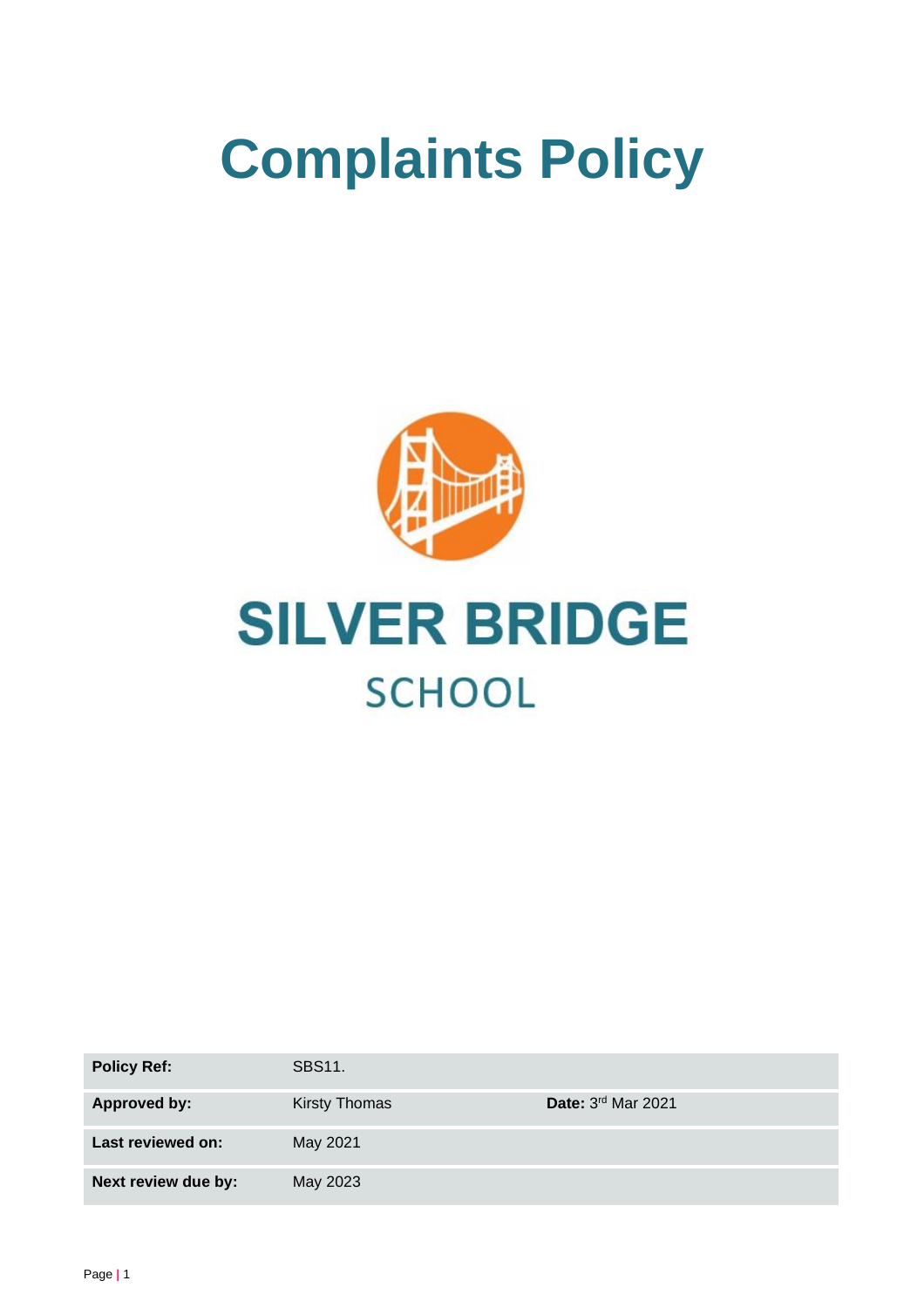# **Complaints Policy**





| <b>Policy Ref:</b>  | <b>SBS11.</b>        |                      |
|---------------------|----------------------|----------------------|
| <b>Approved by:</b> | <b>Kirsty Thomas</b> | Date: $3rd$ Mar 2021 |
| Last reviewed on:   | May 2021             |                      |
| Next review due by: | May 2023             |                      |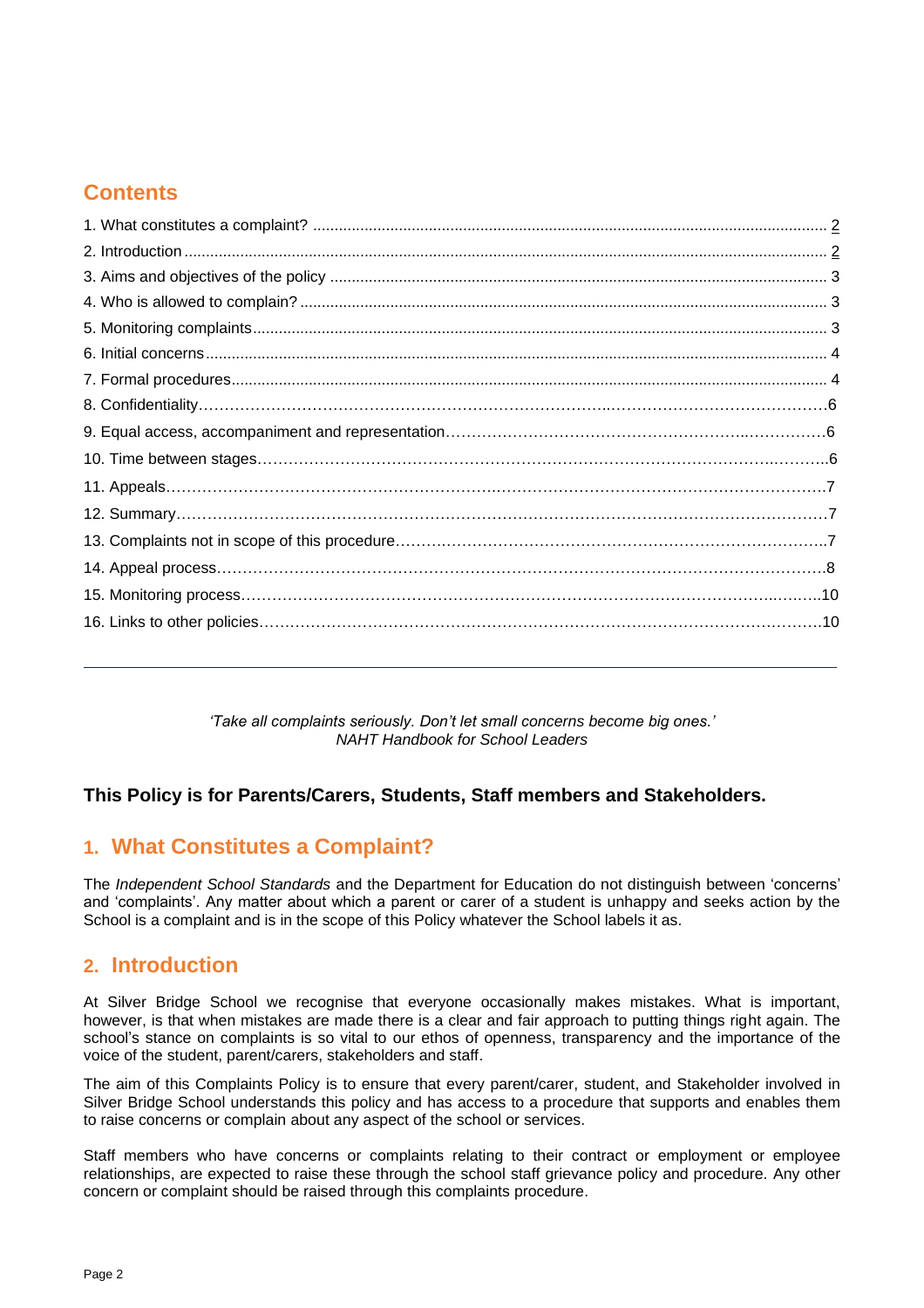# **Contents**

*'Take all complaints seriously. Don't let small concerns become big ones.' NAHT Handbook for School Leaders*

## **This Policy is for Parents/Carers, Students, Staff members and Stakeholders.**

# **1. What Constitutes a Complaint?**

The *Independent School Standards* and the Department for Education do not distinguish between 'concerns' and 'complaints'. Any matter about which a parent or carer of a student is unhappy and seeks action by the School is a complaint and is in the scope of this Policy whatever the School labels it as.

## **2. Introduction**

At Silver Bridge School we recognise that everyone occasionally makes mistakes. What is important, however, is that when mistakes are made there is a clear and fair approach to putting things right again. The school's stance on complaints is so vital to our ethos of openness, transparency and the importance of the voice of the student, parent/carers, stakeholders and staff.

The aim of this Complaints Policy is to ensure that every parent/carer, student, and Stakeholder involved in Silver Bridge School understands this policy and has access to a procedure that supports and enables them to raise concerns or complain about any aspect of the school or services.

Staff members who have concerns or complaints relating to their contract or employment or employee relationships, are expected to raise these through the school staff grievance policy and procedure. Any other concern or complaint should be raised through this complaints procedure.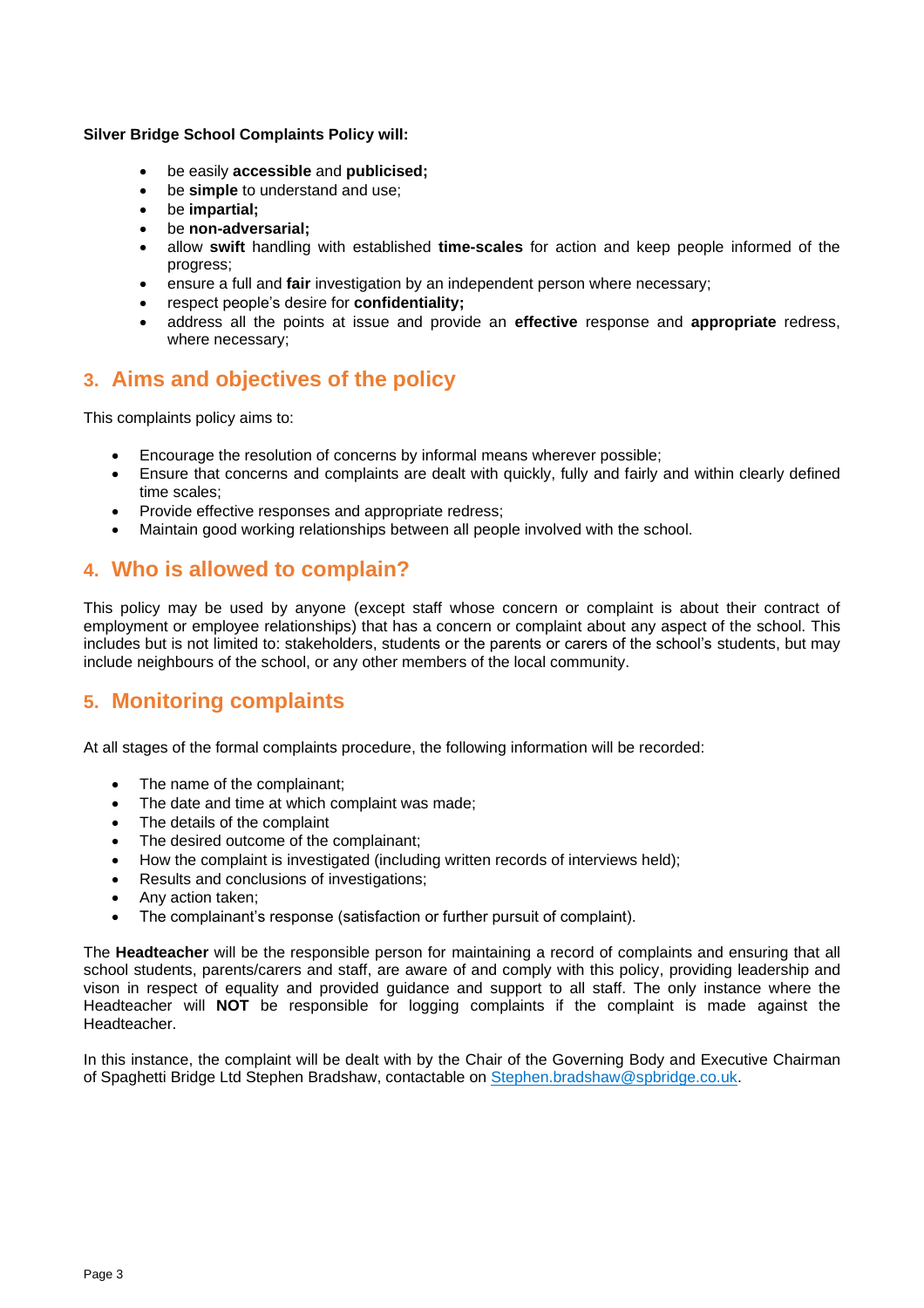**Silver Bridge School Complaints Policy will:**

- be easily **accessible** and **publicised;**
- be **simple** to understand and use;
- be **impartial;**
- be **non-adversarial;**
- allow **swift** handling with established **time-scales** for action and keep people informed of the progress;
- ensure a full and **fair** investigation by an independent person where necessary;
- respect people's desire for **confidentiality;**
- address all the points at issue and provide an **effective** response and **appropriate** redress, where necessary;

# **3. Aims and objectives of the policy**

This complaints policy aims to:

- Encourage the resolution of concerns by informal means wherever possible;
- Ensure that concerns and complaints are dealt with quickly, fully and fairly and within clearly defined time scales;
- Provide effective responses and appropriate redress;
- Maintain good working relationships between all people involved with the school.

# **4. Who is allowed to complain?**

This policy may be used by anyone (except staff whose concern or complaint is about their contract of employment or employee relationships) that has a concern or complaint about any aspect of the school. This includes but is not limited to: stakeholders, students or the parents or carers of the school's students, but may include neighbours of the school, or any other members of the local community.

# **5. Monitoring complaints**

At all stages of the formal complaints procedure, the following information will be recorded:

- The name of the complainant;
- The date and time at which complaint was made:
- The details of the complaint
- The desired outcome of the complainant;
- How the complaint is investigated (including written records of interviews held);
- Results and conclusions of investigations;
- Any action taken;
- The complainant's response (satisfaction or further pursuit of complaint).

The **Headteacher** will be the responsible person for maintaining a record of complaints and ensuring that all school students, parents/carers and staff, are aware of and comply with this policy, providing leadership and vison in respect of equality and provided guidance and support to all staff. The only instance where the Headteacher will **NOT** be responsible for logging complaints if the complaint is made against the Headteacher.

In this instance, the complaint will be dealt with by the Chair of the Governing Body and Executive Chairman of Spaghetti Bridge Ltd Stephen Bradshaw, contactable on [Stephen.bradshaw@spbridge.co.uk.](mailto:Stephen.bradshaw@spbridge.co.uk)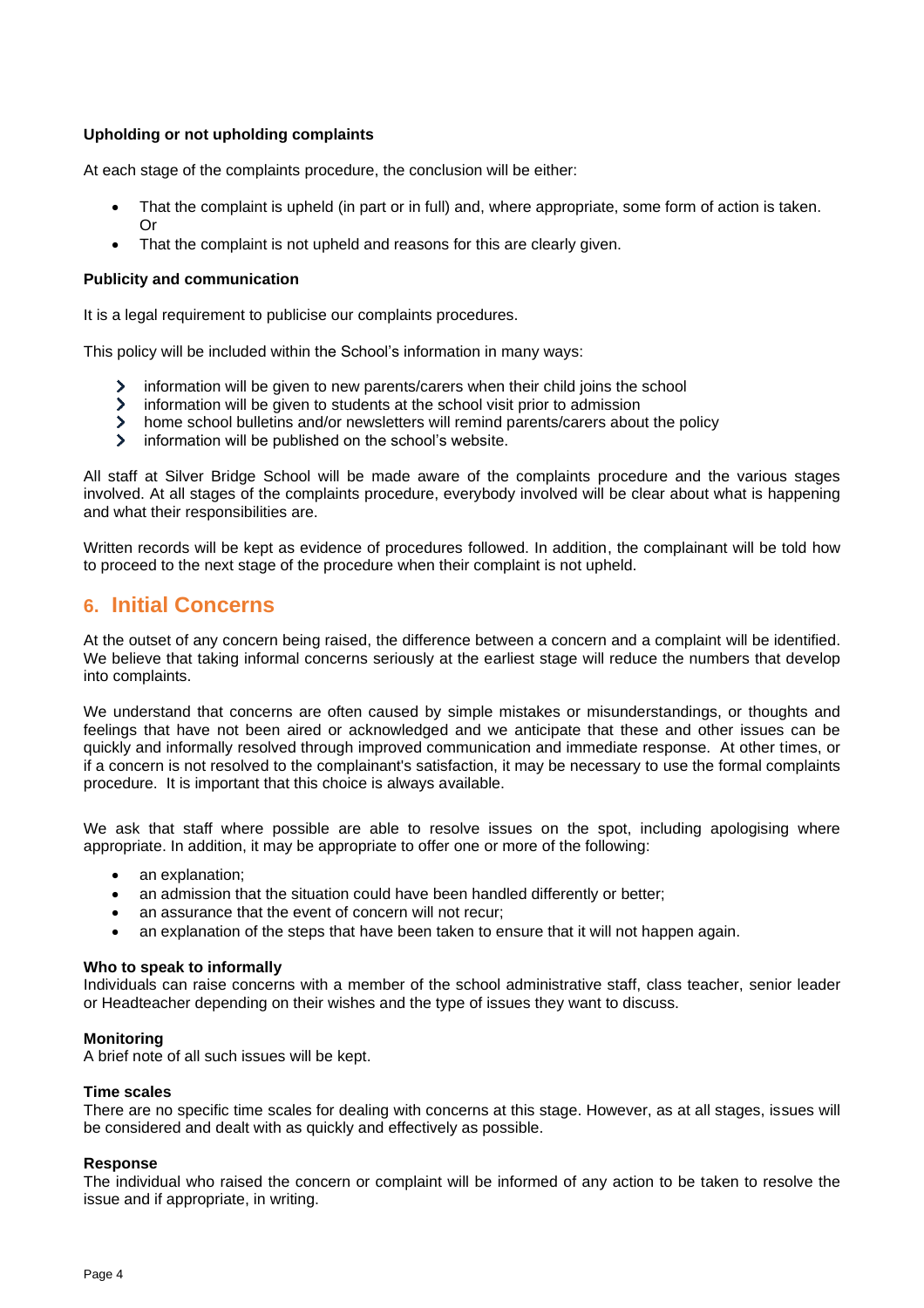## **Upholding or not upholding complaints**

At each stage of the complaints procedure, the conclusion will be either:

- That the complaint is upheld (in part or in full) and, where appropriate, some form of action is taken. Or
- That the complaint is not upheld and reasons for this are clearly given.

#### **Publicity and communication**

It is a legal requirement to publicise our complaints procedures.

This policy will be included within the School's information in many ways:

- information will be given to new parents/carers when their child joins the school  $\sum$
- $\sum$ information will be given to students at the school visit prior to admission
- $\sum$ home school bulletins and/or newsletters will remind parents/carers about the policy
- $\mathbf{S}$ information will be published on the school's website.

All staff at Silver Bridge School will be made aware of the complaints procedure and the various stages involved. At all stages of the complaints procedure, everybody involved will be clear about what is happening and what their responsibilities are.

Written records will be kept as evidence of procedures followed. In addition, the complainant will be told how to proceed to the next stage of the procedure when their complaint is not upheld.

## **6. Initial Concerns**

At the outset of any concern being raised, the difference between a concern and a complaint will be identified. We believe that taking informal concerns seriously at the earliest stage will reduce the numbers that develop into complaints.

We understand that concerns are often caused by simple mistakes or misunderstandings, or thoughts and feelings that have not been aired or acknowledged and we anticipate that these and other issues can be quickly and informally resolved through improved communication and immediate response. At other times, or if a concern is not resolved to the complainant's satisfaction, it may be necessary to use the formal complaints procedure. It is important that this choice is always available.

We ask that staff where possible are able to resolve issues on the spot, including apologising where appropriate. In addition, it may be appropriate to offer one or more of the following:

- an explanation;
- an admission that the situation could have been handled differently or better;
- an assurance that the event of concern will not recur:
- an explanation of the steps that have been taken to ensure that it will not happen again.

#### **Who to speak to informally**

Individuals can raise concerns with a member of the school administrative staff, class teacher, senior leader or Headteacher depending on their wishes and the type of issues they want to discuss.

## **Monitoring**

A brief note of all such issues will be kept.

#### **Time scales**

There are no specific time scales for dealing with concerns at this stage. However, as at all stages, issues will be considered and dealt with as quickly and effectively as possible.

#### **Response**

The individual who raised the concern or complaint will be informed of any action to be taken to resolve the issue and if appropriate, in writing.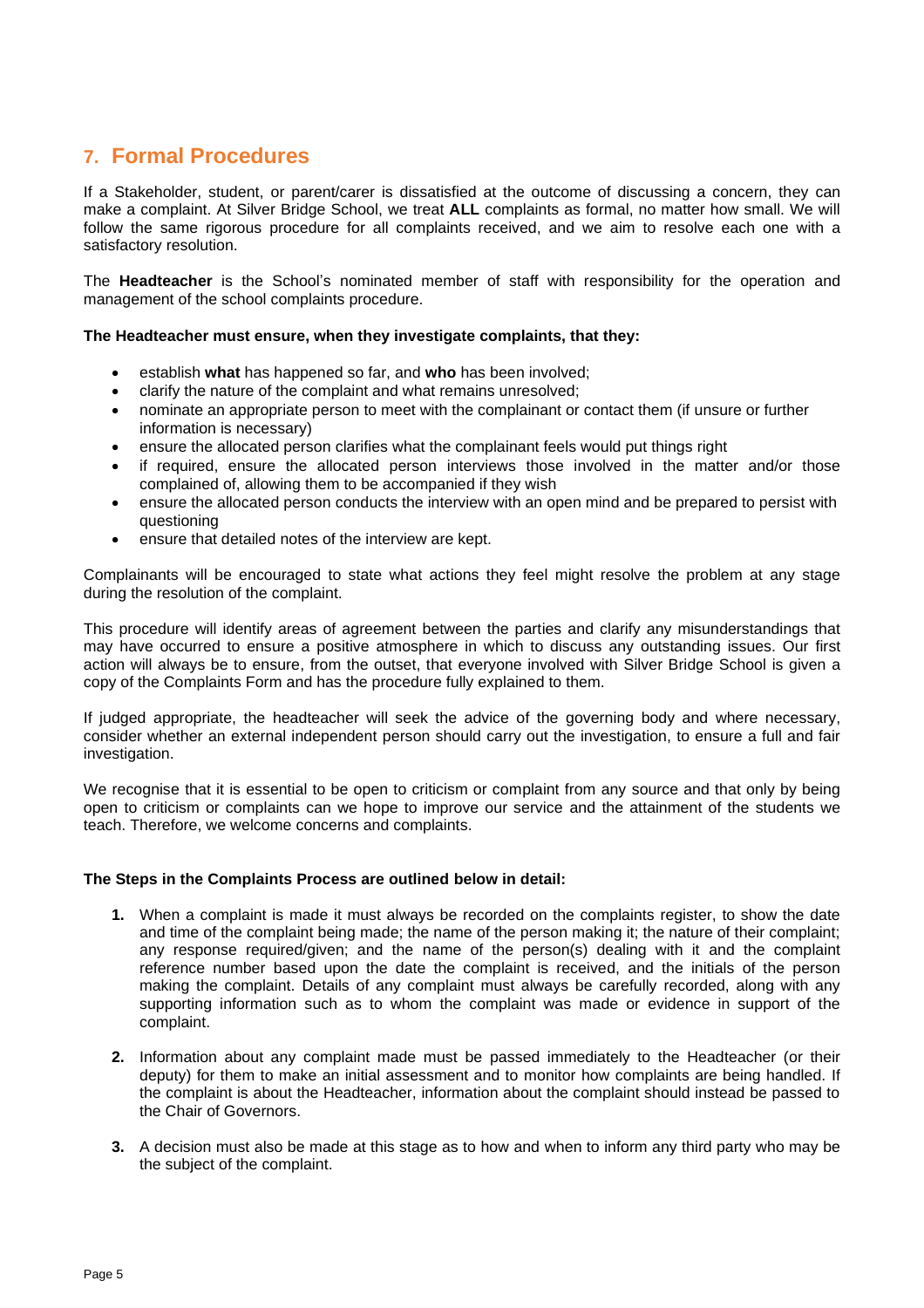# **7. Formal Procedures**

If a Stakeholder, student, or parent/carer is dissatisfied at the outcome of discussing a concern, they can make a complaint. At Silver Bridge School, we treat **ALL** complaints as formal, no matter how small. We will follow the same rigorous procedure for all complaints received, and we aim to resolve each one with a satisfactory resolution.

The **Headteacher** is the School's nominated member of staff with responsibility for the operation and management of the school complaints procedure.

## **The Headteacher must ensure, when they investigate complaints, that they:**

- establish **what** has happened so far, and **who** has been involved;
- clarify the nature of the complaint and what remains unresolved;
- nominate an appropriate person to meet with the complainant or contact them (if unsure or further information is necessary)
- ensure the allocated person clarifies what the complainant feels would put things right
- if required, ensure the allocated person interviews those involved in the matter and/or those complained of, allowing them to be accompanied if they wish
- ensure the allocated person conducts the interview with an open mind and be prepared to persist with questioning
- ensure that detailed notes of the interview are kept.

Complainants will be encouraged to state what actions they feel might resolve the problem at any stage during the resolution of the complaint.

This procedure will identify areas of agreement between the parties and clarify any misunderstandings that may have occurred to ensure a positive atmosphere in which to discuss any outstanding issues. Our first action will always be to ensure, from the outset, that everyone involved with Silver Bridge School is given a copy of the Complaints Form and has the procedure fully explained to them.

If judged appropriate, the headteacher will seek the advice of the governing body and where necessary, consider whether an external independent person should carry out the investigation, to ensure a full and fair investigation.

We recognise that it is essential to be open to criticism or complaint from any source and that only by being open to criticism or complaints can we hope to improve our service and the attainment of the students we teach. Therefore, we welcome concerns and complaints.

#### **The Steps in the Complaints Process are outlined below in detail:**

- **1.** When a complaint is made it must always be recorded on the complaints register, to show the date and time of the complaint being made; the name of the person making it; the nature of their complaint; any response required/given; and the name of the person(s) dealing with it and the complaint reference number based upon the date the complaint is received, and the initials of the person making the complaint. Details of any complaint must always be carefully recorded, along with any supporting information such as to whom the complaint was made or evidence in support of the complaint.
- **2.** Information about any complaint made must be passed immediately to the Headteacher (or their deputy) for them to make an initial assessment and to monitor how complaints are being handled. If the complaint is about the Headteacher, information about the complaint should instead be passed to the Chair of Governors.
- **3.** A decision must also be made at this stage as to how and when to inform any third party who may be the subject of the complaint.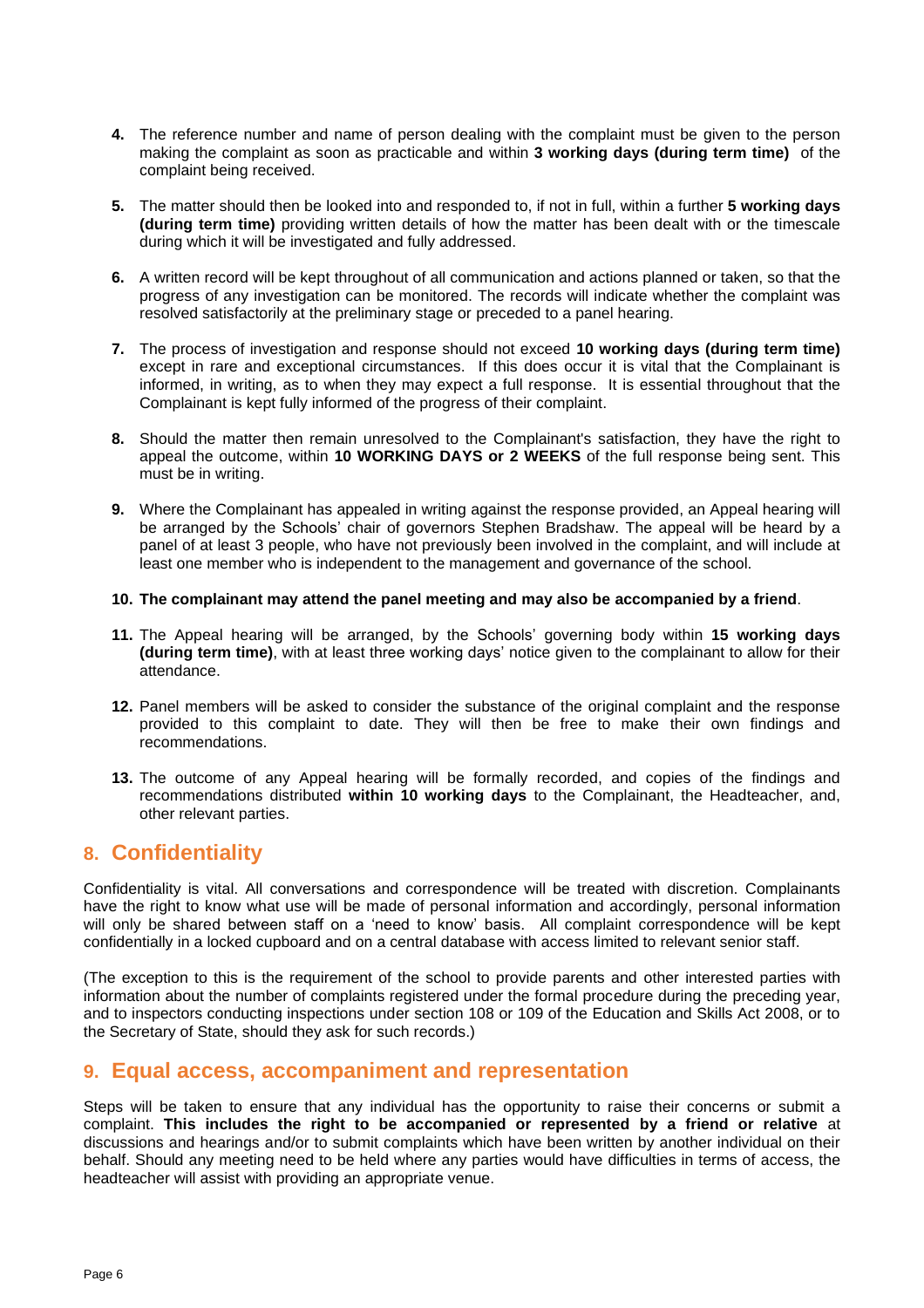- **4.** The reference number and name of person dealing with the complaint must be given to the person making the complaint as soon as practicable and within **3 working days (during term time)** of the complaint being received.
- **5.** The matter should then be looked into and responded to, if not in full, within a further **5 working days (during term time)** providing written details of how the matter has been dealt with or the timescale during which it will be investigated and fully addressed.
- **6.** A written record will be kept throughout of all communication and actions planned or taken, so that the progress of any investigation can be monitored. The records will indicate whether the complaint was resolved satisfactorily at the preliminary stage or preceded to a panel hearing.
- **7.** The process of investigation and response should not exceed **10 working days (during term time)** except in rare and exceptional circumstances. If this does occur it is vital that the Complainant is informed, in writing, as to when they may expect a full response. It is essential throughout that the Complainant is kept fully informed of the progress of their complaint.
- **8.** Should the matter then remain unresolved to the Complainant's satisfaction, they have the right to appeal the outcome, within **10 WORKING DAYS or 2 WEEKS** of the full response being sent. This must be in writing.
- **9.** Where the Complainant has appealed in writing against the response provided, an Appeal hearing will be arranged by the Schools' chair of governors Stephen Bradshaw. The appeal will be heard by a panel of at least 3 people, who have not previously been involved in the complaint, and will include at least one member who is independent to the management and governance of the school.

#### **10. The complainant may attend the panel meeting and may also be accompanied by a friend**.

- **11.** The Appeal hearing will be arranged, by the Schools' governing body within **15 working days (during term time)**, with at least three working days' notice given to the complainant to allow for their attendance.
- **12.** Panel members will be asked to consider the substance of the original complaint and the response provided to this complaint to date. They will then be free to make their own findings and recommendations.
- **13.** The outcome of any Appeal hearing will be formally recorded, and copies of the findings and recommendations distributed **within 10 working days** to the Complainant, the Headteacher, and, other relevant parties.

## **8. Confidentiality**

Confidentiality is vital. All conversations and correspondence will be treated with discretion. Complainants have the right to know what use will be made of personal information and accordingly, personal information will only be shared between staff on a 'need to know' basis. All complaint correspondence will be kept confidentially in a locked cupboard and on a central database with access limited to relevant senior staff.

(The exception to this is the requirement of the school to provide parents and other interested parties with information about the number of complaints registered under the formal procedure during the preceding year, and to inspectors conducting inspections under section 108 or 109 of the Education and Skills Act 2008, or to the Secretary of State, should they ask for such records.)

## **9. Equal access, accompaniment and representation**

Steps will be taken to ensure that any individual has the opportunity to raise their concerns or submit a complaint. **This includes the right to be accompanied or represented by a friend or relative** at discussions and hearings and/or to submit complaints which have been written by another individual on their behalf. Should any meeting need to be held where any parties would have difficulties in terms of access, the headteacher will assist with providing an appropriate venue.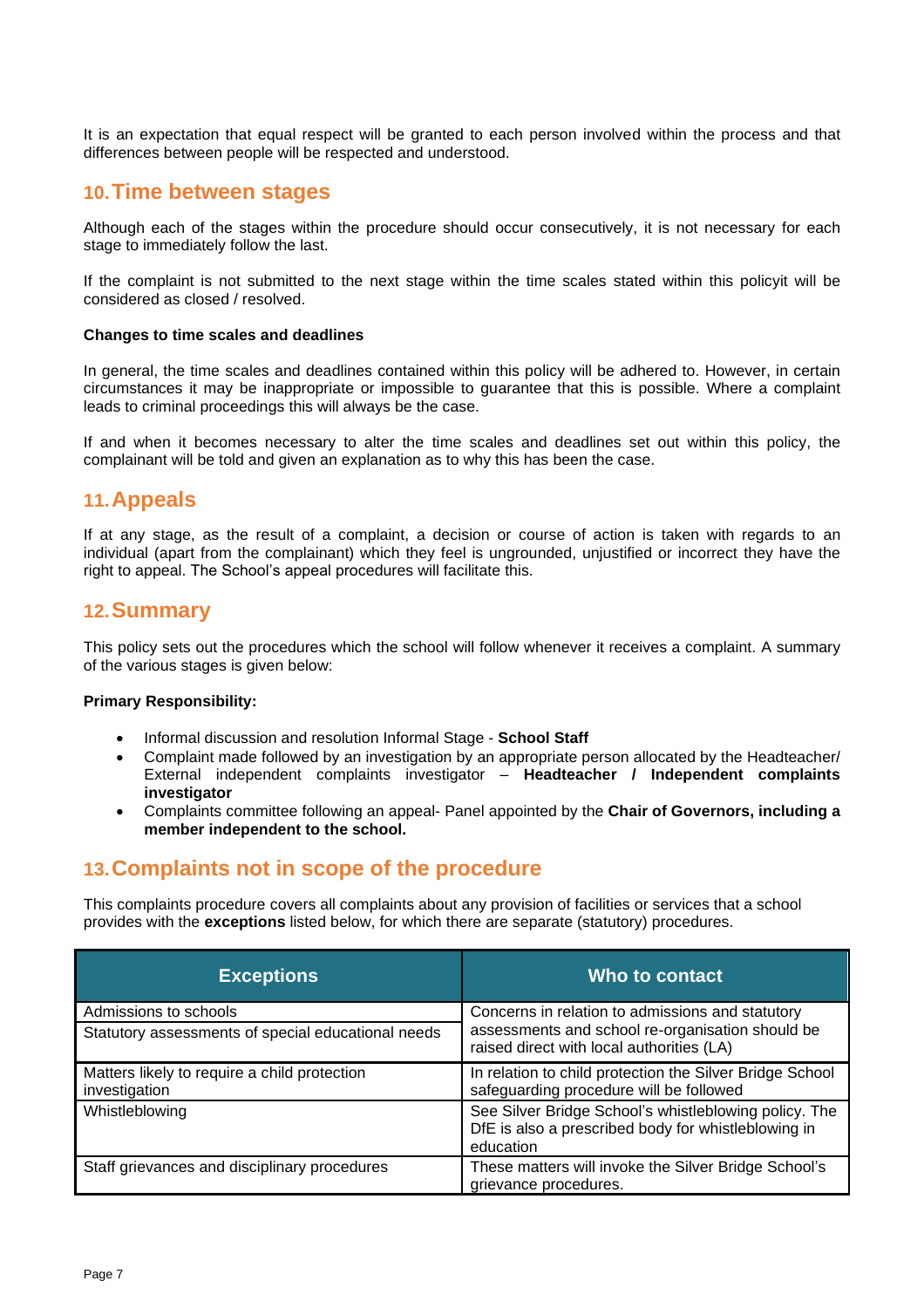It is an expectation that equal respect will be granted to each person involved within the process and that differences between people will be respected and understood.

## **10.Time between stages**

Although each of the stages within the procedure should occur consecutively, it is not necessary for each stage to immediately follow the last.

If the complaint is not submitted to the next stage within the time scales stated within this policyit will be considered as closed / resolved.

## **Changes to time scales and deadlines**

In general, the time scales and deadlines contained within this policy will be adhered to. However, in certain circumstances it may be inappropriate or impossible to guarantee that this is possible. Where a complaint leads to criminal proceedings this will always be the case.

If and when it becomes necessary to alter the time scales and deadlines set out within this policy, the complainant will be told and given an explanation as to why this has been the case.

## **11.Appeals**

If at any stage, as the result of a complaint, a decision or course of action is taken with regards to an individual (apart from the complainant) which they feel is ungrounded, unjustified or incorrect they have the right to appeal. The School's appeal procedures will facilitate this.

## **12.Summary**

This policy sets out the procedures which the school will follow whenever it receives a complaint. A summary of the various stages is given below:

## **Primary Responsibility:**

- Informal discussion and resolution Informal Stage **School Staff**
- Complaint made followed by an investigation by an appropriate person allocated by the Headteacher/ External independent complaints investigator – **Headteacher / Independent complaints investigator**
- Complaints committee following an appeal- Panel appointed by the **Chair of Governors, including a member independent to the school.**

## **13.Complaints not in scope of the procedure**

This complaints procedure covers all complaints about any provision of facilities or services that a school provides with the **exceptions** listed below, for which there are separate (statutory) procedures.

| <b>Exceptions</b>                                             | Who to contact                                                                                                            |
|---------------------------------------------------------------|---------------------------------------------------------------------------------------------------------------------------|
| Admissions to schools                                         | Concerns in relation to admissions and statutory                                                                          |
| Statutory assessments of special educational needs            | assessments and school re-organisation should be<br>raised direct with local authorities (LA)                             |
| Matters likely to require a child protection<br>investigation | In relation to child protection the Silver Bridge School<br>safeguarding procedure will be followed                       |
| Whistleblowing                                                | See Silver Bridge School's whistleblowing policy. The<br>DfE is also a prescribed body for whistleblowing in<br>education |
| Staff grievances and disciplinary procedures                  | These matters will invoke the Silver Bridge School's<br>grievance procedures.                                             |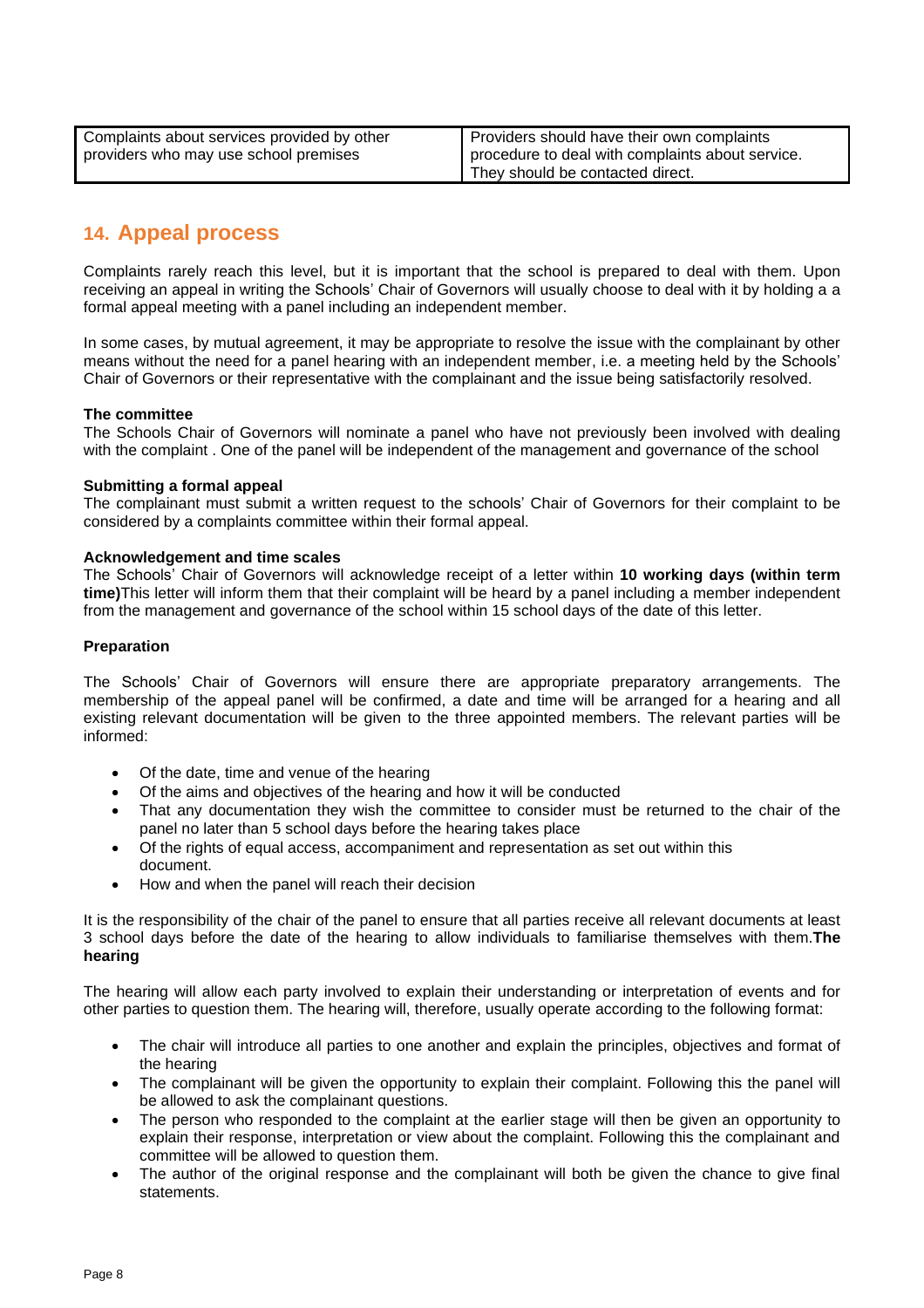| Complaints about services provided by other | Providers should have their own complaints       |
|---------------------------------------------|--------------------------------------------------|
| providers who may use school premises       | procedure to deal with complaints about service. |
|                                             | They should be contacted direct.                 |

# **14. Appeal process**

Complaints rarely reach this level, but it is important that the school is prepared to deal with them. Upon receiving an appeal in writing the Schools' Chair of Governors will usually choose to deal with it by holding a a formal appeal meeting with a panel including an independent member.

In some cases, by mutual agreement, it may be appropriate to resolve the issue with the complainant by other means without the need for a panel hearing with an independent member, i.e. a meeting held by the Schools' Chair of Governors or their representative with the complainant and the issue being satisfactorily resolved.

## **The committee**

The Schools Chair of Governors will nominate a panel who have not previously been involved with dealing with the complaint . One of the panel will be independent of the management and governance of the school

## **Submitting a formal appeal**

The complainant must submit a written request to the schools' Chair of Governors for their complaint to be considered by a complaints committee within their formal appeal.

## **Acknowledgement and time scales**

The Schools' Chair of Governors will acknowledge receipt of a letter within **10 working days (within term time)**This letter will inform them that their complaint will be heard by a panel including a member independent from the management and governance of the school within 15 school days of the date of this letter.

## **Preparation**

The Schools' Chair of Governors will ensure there are appropriate preparatory arrangements. The membership of the appeal panel will be confirmed, a date and time will be arranged for a hearing and all existing relevant documentation will be given to the three appointed members. The relevant parties will be informed:

- Of the date, time and venue of the hearing
- Of the aims and objectives of the hearing and how it will be conducted
- That any documentation they wish the committee to consider must be returned to the chair of the panel no later than 5 school days before the hearing takes place
- Of the rights of equal access, accompaniment and representation as set out within this document.
- How and when the panel will reach their decision

It is the responsibility of the chair of the panel to ensure that all parties receive all relevant documents at least 3 school days before the date of the hearing to allow individuals to familiarise themselves with them.**The hearing**

The hearing will allow each party involved to explain their understanding or interpretation of events and for other parties to question them. The hearing will, therefore, usually operate according to the following format:

- The chair will introduce all parties to one another and explain the principles, objectives and format of the hearing
- The complainant will be given the opportunity to explain their complaint. Following this the panel will be allowed to ask the complainant questions.
- The person who responded to the complaint at the earlier stage will then be given an opportunity to explain their response, interpretation or view about the complaint. Following this the complainant and committee will be allowed to question them.
- The author of the original response and the complainant will both be given the chance to give final statements.